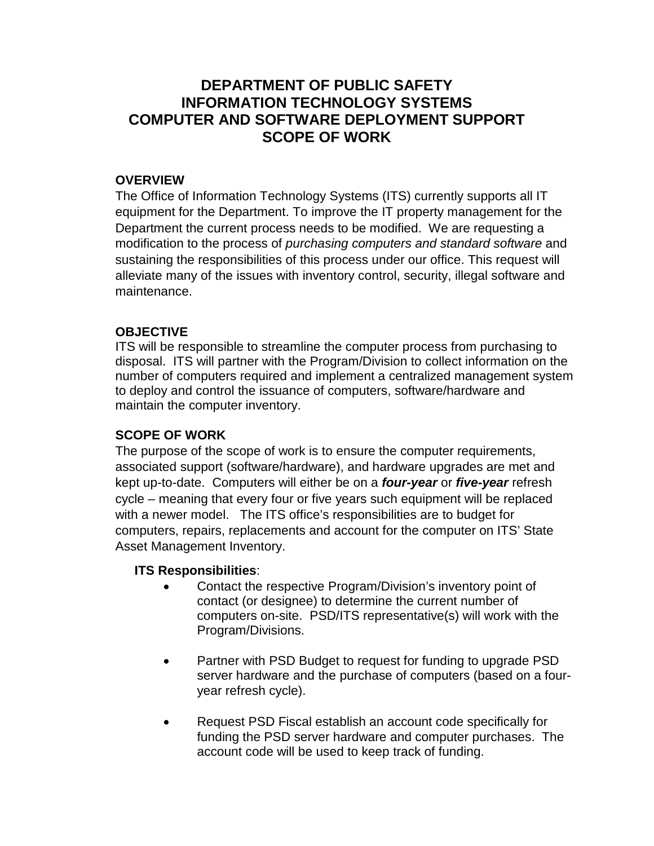# **DEPARTMENT OF PUBLIC SAFETY INFORMATION TECHNOLOGY SYSTEMS COMPUTER AND SOFTWARE DEPLOYMENT SUPPORT SCOPE OF WORK**

### **OVERVIEW**

The Office of Information Technology Systems (ITS) currently supports all IT equipment for the Department. To improve the IT property management for the Department the current process needs to be modified. We are requesting a modification to the process of *purchasing computers and standard software* and sustaining the responsibilities of this process under our office. This request will alleviate many of the issues with inventory control, security, illegal software and maintenance.

### **OBJECTIVE**

ITS will be responsible to streamline the computer process from purchasing to disposal. ITS will partner with the Program/Division to collect information on the number of computers required and implement a centralized management system to deploy and control the issuance of computers, software/hardware and maintain the computer inventory.

### **SCOPE OF WORK**

The purpose of the scope of work is to ensure the computer requirements, associated support (software/hardware), and hardware upgrades are met and kept up-to-date. Computers will either be on a *four-year* or *five-year* refresh cycle – meaning that every four or five years such equipment will be replaced with a newer model. The ITS office's responsibilities are to budget for computers, repairs, replacements and account for the computer on ITS' State Asset Management Inventory.

### **ITS Responsibilities**:

- Contact the respective Program/Division's inventory point of contact (or designee) to determine the current number of computers on-site. PSD/ITS representative(s) will work with the Program/Divisions.
- Partner with PSD Budget to request for funding to upgrade PSD server hardware and the purchase of computers (based on a fouryear refresh cycle).
- Request PSD Fiscal establish an account code specifically for funding the PSD server hardware and computer purchases. The account code will be used to keep track of funding.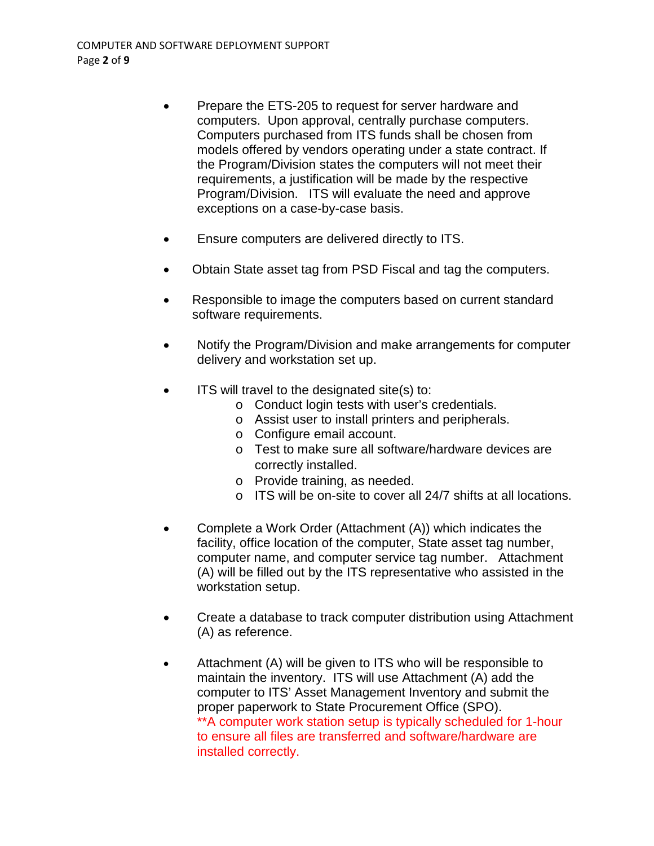- Prepare the ETS-205 to request for server hardware and computers. Upon approval, centrally purchase computers. Computers purchased from ITS funds shall be chosen from models offered by vendors operating under a state contract. If the Program/Division states the computers will not meet their requirements, a justification will be made by the respective Program/Division. ITS will evaluate the need and approve exceptions on a case-by-case basis.
- Ensure computers are delivered directly to ITS.
- Obtain State asset tag from PSD Fiscal and tag the computers.
- Responsible to image the computers based on current standard software requirements.
- Notify the Program/Division and make arrangements for computer delivery and workstation set up.
- ITS will travel to the designated site(s) to:
	- o Conduct login tests with user's credentials.
	- o Assist user to install printers and peripherals.
	- o Configure email account.
	- o Test to make sure all software/hardware devices are correctly installed.
	- o Provide training, as needed.
	- o ITS will be on-site to cover all 24/7 shifts at all locations.
- Complete a Work Order (Attachment (A)) which indicates the facility, office location of the computer, State asset tag number, computer name, and computer service tag number. Attachment (A) will be filled out by the ITS representative who assisted in the workstation setup.
- Create a database to track computer distribution using Attachment (A) as reference.
- Attachment (A) will be given to ITS who will be responsible to maintain the inventory. ITS will use Attachment (A) add the computer to ITS' Asset Management Inventory and submit the proper paperwork to State Procurement Office (SPO). \*\*A computer work station setup is typically scheduled for 1-hour to ensure all files are transferred and software/hardware are installed correctly.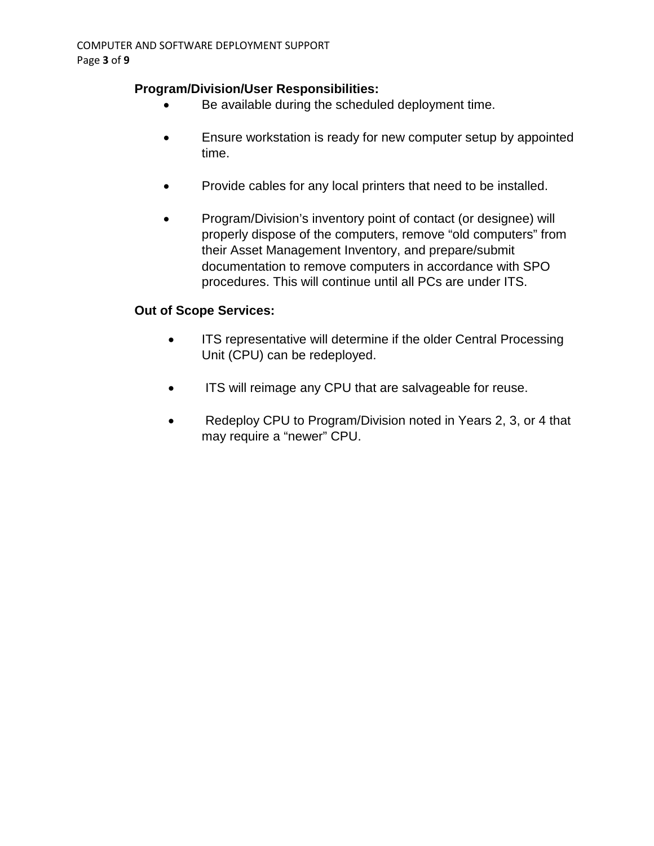### **Program/Division/User Responsibilities:**

- Be available during the scheduled deployment time.
- Ensure workstation is ready for new computer setup by appointed time.
- Provide cables for any local printers that need to be installed.
- Program/Division's inventory point of contact (or designee) will properly dispose of the computers, remove "old computers" from their Asset Management Inventory, and prepare/submit documentation to remove computers in accordance with SPO procedures. This will continue until all PCs are under ITS.

### **Out of Scope Services:**

- ITS representative will determine if the older Central Processing Unit (CPU) can be redeployed.
- ITS will reimage any CPU that are salvageable for reuse.
- Redeploy CPU to Program/Division noted in Years 2, 3, or 4 that may require a "newer" CPU.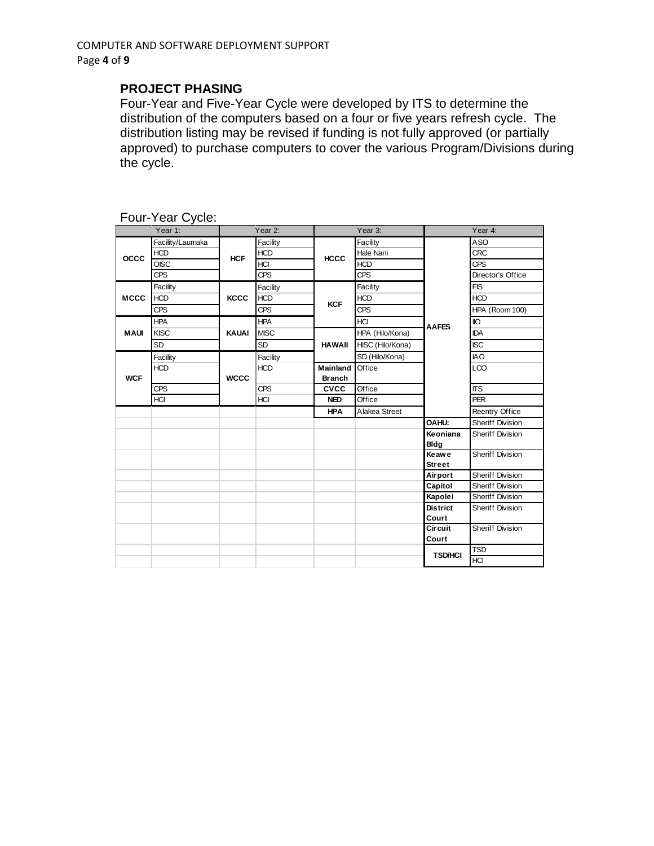### **PROJECT PHASING**

Four-Year and Five-Year Cycle were developed by ITS to determine the distribution of the computers based on a four or five years refresh cycle. The distribution listing may be revised if funding is not fully approved (or partially approved) to purchase computers to cover the various Program/Divisions during the cycle.

|             | Year 1:          |                      | Year 2:     |                 | Year 3:          |                  | Year 4:                 |
|-------------|------------------|----------------------|-------------|-----------------|------------------|------------------|-------------------------|
|             | Facility/Laumaka |                      | Facility    |                 | Facility         |                  | ASO                     |
| <b>OCCC</b> | <b>HCD</b>       | <b>HCF</b>           | <b>HCD</b>  | <b>HCCC</b>     | Hale Nani        |                  | <b>CRC</b>              |
|             | <b>OISC</b>      |                      | HCI         |                 | <b>HCD</b>       |                  | <b>CPS</b>              |
|             | CPS              |                      | <b>CPS</b>  |                 | <b>CPS</b>       | <b>AAFES</b>     | Director's Office       |
|             | Facility         |                      | Facility    |                 | Facility         |                  | <b>FIS</b>              |
| <b>MCCC</b> | <b>HCD</b>       | <b>KCCC</b>          | <b>HCD</b>  |                 | <b>HCD</b>       |                  | <b>HCD</b>              |
|             | <b>CPS</b>       |                      | <b>CPS</b>  | <b>KCF</b>      | <b>CPS</b>       |                  | HPA (Room 100)          |
|             | <b>HPA</b>       | KAUAI<br><b>WCCC</b> | <b>HPA</b>  |                 | HCI              |                  | <b>IIO</b>              |
| <b>MAUI</b> | <b>KISC</b>      |                      | <b>MISC</b> |                 | HPA (Hilo/Kona)  |                  | <b>IDA</b>              |
|             | SD               |                      | SD          | <b>HAWAII</b>   | HISC (Hilo/Kona) |                  | <b>ISC</b>              |
|             | Facility         |                      | Facility    |                 | SD (Hilo/Kona)   |                  | <b>IAO</b>              |
|             | <b>HCD</b>       |                      | <b>HCD</b>  | <b>Mainland</b> | Office           |                  | <b>LCO</b>              |
| <b>WCF</b>  |                  |                      |             | <b>Branch</b>   |                  |                  |                         |
|             | <b>CPS</b>       |                      | <b>CPS</b>  | <b>CVCC</b>     | Office           |                  | <b>ITS</b>              |
|             | HCI              |                      | HCI         | <b>NED</b>      | Office           |                  | <b>PER</b>              |
|             |                  |                      |             | <b>HPA</b>      | Alakea Street    |                  | Reentry Office          |
|             |                  |                      |             |                 |                  | OAHU:            | Sheriff Division        |
|             |                  |                      |             |                 |                  | Keoniana         | Sheriff Division        |
|             |                  |                      |             |                 |                  | <b>Bldg</b>      |                         |
|             |                  |                      |             |                 |                  | Keawe            | Sheriff Division        |
|             |                  |                      |             |                 |                  | <b>Street</b>    |                         |
|             |                  |                      |             |                 |                  | Airport          | Sheriff Division        |
|             |                  |                      |             |                 |                  | Capitol          | Sheriff Division        |
|             |                  |                      |             |                 |                  | Kapolei          | Sheriff Division        |
|             |                  |                      |             |                 |                  | <b>District</b>  | <b>Sheriff Division</b> |
|             |                  |                      |             |                 |                  | Court<br>Circuit | <b>Sheriff Division</b> |
|             |                  |                      |             |                 |                  |                  |                         |
|             |                  |                      |             |                 |                  | Court            | <b>TSD</b>              |
|             |                  |                      |             |                 |                  | <b>TSD/HCI</b>   | <b>HCI</b>              |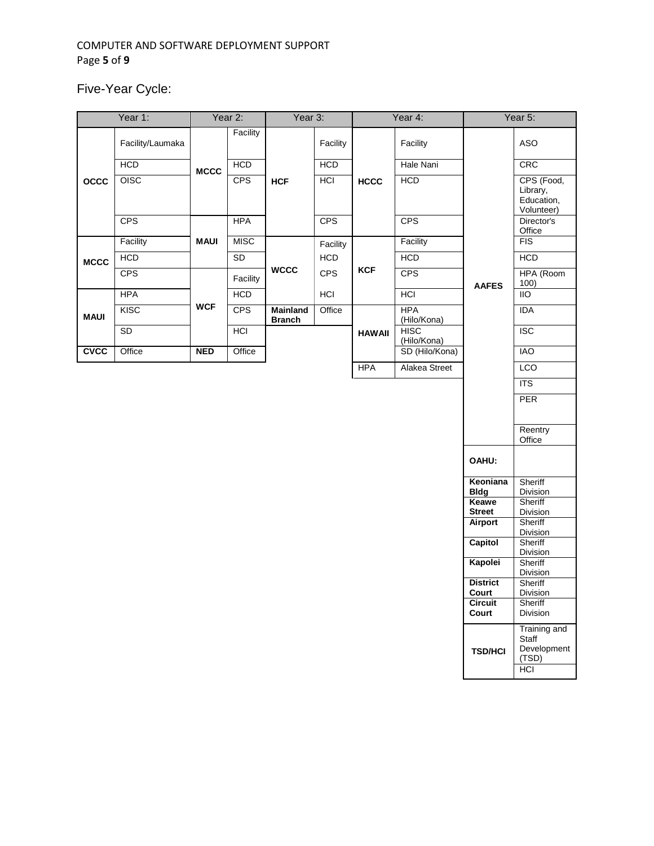#### COMPUTER AND SOFTWARE DEPLOYMENT SUPPORT Page **5** of **9**

Five-Year Cycle:

|             | Year 1:          |             | Year 2:     | Year 3:                          |            |               | Year 4:                    |                         | Year 5:                                                     |
|-------------|------------------|-------------|-------------|----------------------------------|------------|---------------|----------------------------|-------------------------|-------------------------------------------------------------|
|             | Facility/Laumaka |             | Facility    |                                  | Facility   |               | Facility                   |                         | ASO                                                         |
|             | HCD              | <b>MCCC</b> | HCD         |                                  | HCD        |               | Hale Nani                  |                         | <b>CRC</b>                                                  |
| occ         | OISC             |             | CPS         | <b>HCF</b>                       | <b>HCI</b> | <b>HCCC</b>   | HCD                        |                         | CPS (Food,<br>Library,<br>Education,<br>Volunteer)          |
|             | <b>CPS</b>       |             | <b>HPA</b>  |                                  | CPS        |               | <b>CPS</b>                 |                         | Director's<br>Office                                        |
|             | Facility         | <b>MAUI</b> | <b>MISC</b> | <b>WCCC</b>                      | Facility   | <b>KCF</b>    | Facility                   | <b>AAFES</b>            | FIS                                                         |
| <b>MCCC</b> | HCD              |             | SD          |                                  | <b>HCD</b> |               | <b>HCD</b>                 |                         | <b>HCD</b>                                                  |
|             | <b>CPS</b>       |             | Facility    |                                  | <b>CPS</b> |               | <b>CPS</b>                 |                         | HPA (Room<br>100)                                           |
|             | <b>HPA</b>       |             | HCD         |                                  | <b>HCI</b> |               | <b>HCI</b>                 |                         | <b>IIO</b>                                                  |
| <b>MAUI</b> | KISC             | <b>WCF</b>  | CPS         | <b>Mainland</b><br><b>Branch</b> | Office     |               | <b>HPA</b><br>(Hilo/Kona)  |                         | <b>IDA</b>                                                  |
|             | $\mathsf{SD}$    |             | HCI         |                                  |            | <b>HAWAII</b> | <b>HISC</b><br>(Hilo/Kona) |                         | <b>ISC</b>                                                  |
| <b>CACC</b> | Office           | <b>NED</b>  | Office      |                                  |            |               | SD (Hilo/Kona)             |                         | <b>IAO</b>                                                  |
|             |                  |             |             |                                  |            | <b>HPA</b>    | Alakea Street              |                         | <b>LCO</b>                                                  |
|             |                  |             |             |                                  |            |               |                            |                         | <b>ITS</b>                                                  |
|             |                  |             |             |                                  |            |               |                            |                         | PER                                                         |
|             |                  |             |             |                                  |            |               |                            |                         | Reentry<br>Office                                           |
|             |                  |             |             |                                  |            |               |                            | OAHU:                   |                                                             |
|             |                  |             |             |                                  |            |               |                            | Keoniana<br><b>Bldg</b> | Sheriff<br>Division                                         |
|             |                  |             |             |                                  |            |               |                            | Keawe<br><b>Street</b>  | Sheriff<br>Division                                         |
|             |                  |             |             |                                  |            |               |                            | <b>Airport</b>          | Sheriff<br>Division                                         |
|             |                  |             |             |                                  |            |               |                            | <b>Capitol</b>          | Sheriff<br>Division                                         |
|             |                  |             |             |                                  |            |               |                            | Kapolei                 | Sheriff<br>Division                                         |
|             |                  |             |             |                                  |            |               |                            | <b>District</b>         | Sheriff                                                     |
|             |                  |             |             |                                  |            |               |                            | Court<br><b>Circuit</b> | <b>DIVISION</b><br>Sheriff                                  |
|             |                  |             |             |                                  |            |               |                            | Court                   | Division                                                    |
|             |                  |             |             |                                  |            |               |                            | <b>TSD/HCI</b>          | Training and<br>Staff<br>Development<br>(TSD)<br><b>HCI</b> |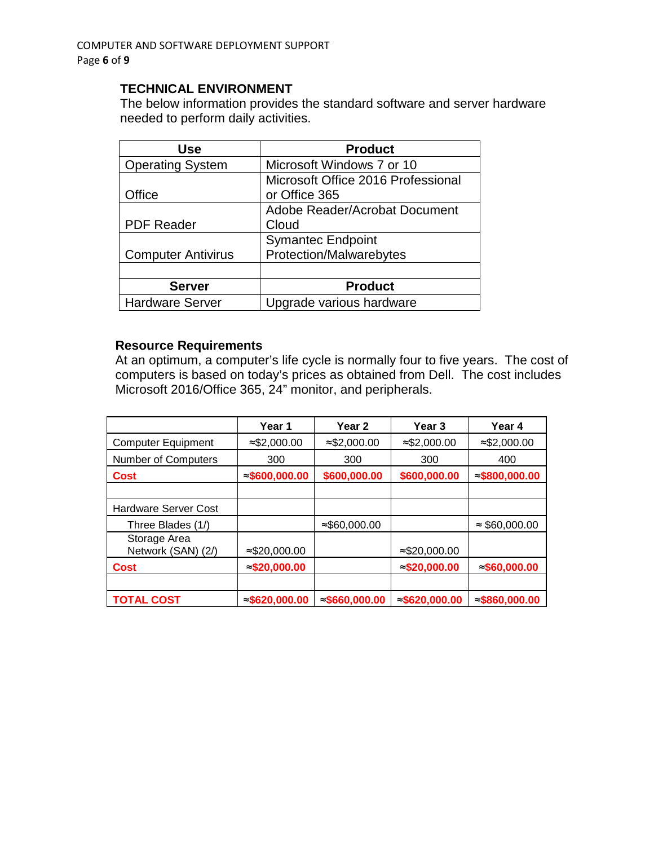#### **TECHNICAL ENVIRONMENT**

The below information provides the standard software and server hardware needed to perform daily activities.

| Use                       | <b>Product</b>                     |
|---------------------------|------------------------------------|
| <b>Operating System</b>   | Microsoft Windows 7 or 10          |
|                           | Microsoft Office 2016 Professional |
| Office                    | or Office 365                      |
|                           | Adobe Reader/Acrobat Document      |
| <b>PDF Reader</b>         | Cloud                              |
|                           | <b>Symantec Endpoint</b>           |
| <b>Computer Antivirus</b> | Protection/Malwarebytes            |
|                           |                                    |
| <b>Server</b>             | <b>Product</b>                     |
| <b>Hardware Server</b>    | Upgrade various hardware           |

#### **Resource Requirements**

At an optimum, a computer's life cycle is normally four to five years. The cost of computers is based on today's prices as obtained from Dell. The cost includes Microsoft 2016/Office 365, 24" monitor, and peripherals.

|                                    | Year 1                 | Year 2                 | Year 3                 | Year 4                 |
|------------------------------------|------------------------|------------------------|------------------------|------------------------|
| <b>Computer Equipment</b>          | $\approx$ \$2,000.00   | $\approx$ \$2,000.00   | $\approx$ \$2,000.00   | $≈$ \$2,000.00         |
| Number of Computers                | 300                    | 300                    | 300                    | 400                    |
| <b>Cost</b>                        | $\approx$ \$600,000.00 | \$600,000.00           | \$600,000.00           | $\approx$ \$800,000.00 |
|                                    |                        |                        |                        |                        |
| <b>Hardware Server Cost</b>        |                        |                        |                        |                        |
| Three Blades (1/)                  |                        | $\approx$ \$60,000.00  |                        | $\approx$ \$60,000.00  |
| Storage Area<br>Network (SAN) (2/) | $\approx$ \$20,000.00  |                        | $\approx$ \$20,000.00  |                        |
| <b>Cost</b>                        | $\approx$ \$20,000.00  |                        | $\approx$ \$20,000.00  | $\approx$ \$60,000.00  |
|                                    |                        |                        |                        |                        |
| <b>TOTAL COST</b>                  | $\approx$ \$620,000.00 | $\approx$ \$660,000.00 | $\approx$ \$620,000.00 | $\approx$ \$860,000.00 |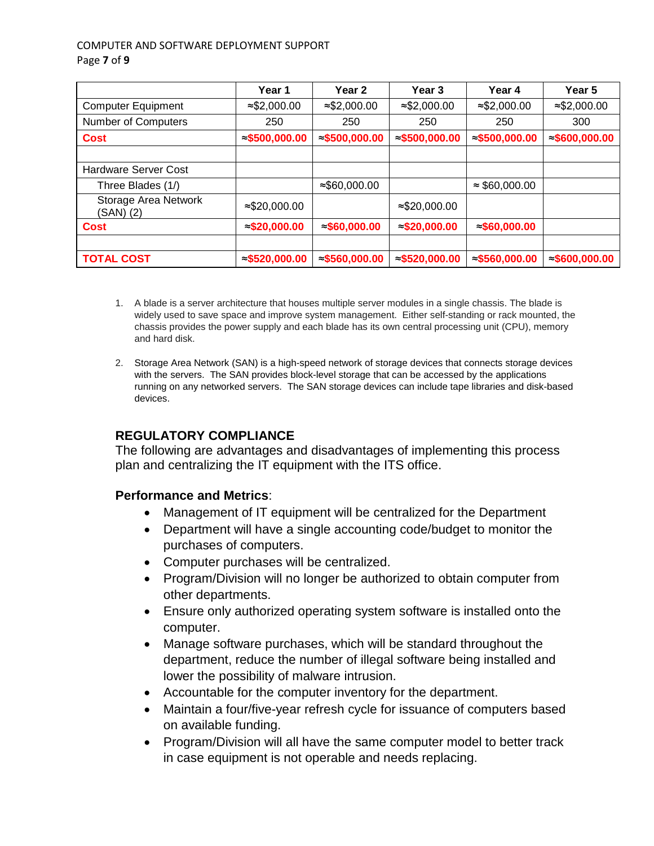#### COMPUTER AND SOFTWARE DEPLOYMENT SUPPORT Page **7** of **9**

|                                   | Year 1                 | Year <sub>2</sub>      | Year 3                 | Year 4                 | Year 5                 |
|-----------------------------------|------------------------|------------------------|------------------------|------------------------|------------------------|
| <b>Computer Equipment</b>         | $\approx$ \$2,000.00   | $\approx$ \$2,000.00   | $\approx$ \$2,000.00   | $\approx$ \$2,000.00   | $\approx$ \$2,000.00   |
| Number of Computers               | 250                    | 250                    | 250                    | 250                    | 300                    |
| <b>Cost</b>                       | $\approx$ \$500,000.00 | $\approx$ \$500,000.00 | $\approx$ \$500,000.00 | $\approx$ \$500,000.00 | $\approx$ \$600,000.00 |
|                                   |                        |                        |                        |                        |                        |
| Hardware Server Cost              |                        |                        |                        |                        |                        |
| Three Blades (1/)                 |                        | $≈$ \$60,000.00        |                        | $\approx$ \$60,000.00  |                        |
| Storage Area Network<br>(SAN) (2) | $\approx$ \$20,000.00  |                        | $≈$ \$20,000.00        |                        |                        |
| <b>Cost</b>                       | $\approx$ \$20,000.00  | $\approx$ \$60,000.00  | $\approx$ \$20,000.00  | $\approx$ \$60,000.00  |                        |
|                                   |                        |                        |                        |                        |                        |
| <b>TOTAL COST</b>                 | $\approx$ \$520,000.00 | $\approx$ \$560,000.00 | $\approx$ \$520,000.00 | $\approx$ \$560,000.00 | $\approx$ \$600,000.00 |

- 1. A blade is a server architecture that houses multiple server modules in a single chassis. The blade is widely used to save space and improve system management. Either self-standing or rack mounted, the chassis provides the power supply and each blade has its own central processing unit (CPU), memory and hard disk.
- 2. Storage Area Network (SAN) is a high-speed network of storage devices that connects storage devices with the servers. The SAN provides block-level storage that can be accessed by the applications running on any networked servers. The SAN storage devices can include tape libraries and disk-based devices.

## **REGULATORY COMPLIANCE**

The following are advantages and disadvantages of implementing this process plan and centralizing the IT equipment with the ITS office.

### **Performance and Metrics**:

- Management of IT equipment will be centralized for the Department
- Department will have a single accounting code/budget to monitor the purchases of computers.
- Computer purchases will be centralized.
- Program/Division will no longer be authorized to obtain computer from other departments.
- Ensure only authorized operating system software is installed onto the computer.
- Manage software purchases, which will be standard throughout the department, reduce the number of illegal software being installed and lower the possibility of malware intrusion.
- Accountable for the computer inventory for the department.
- Maintain a four/five-year refresh cycle for issuance of computers based on available funding.
- Program/Division will all have the same computer model to better track in case equipment is not operable and needs replacing.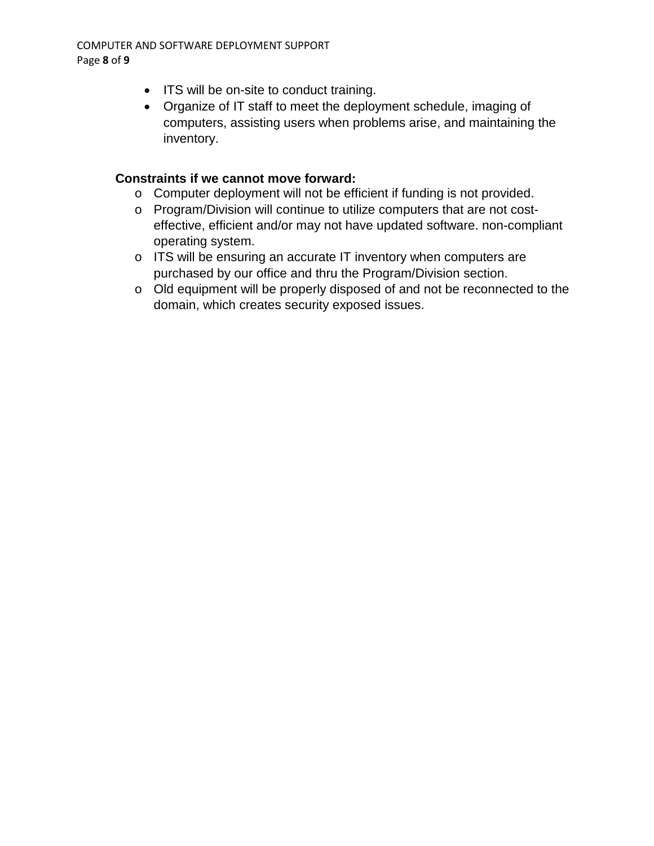- ITS will be on-site to conduct training.
- Organize of IT staff to meet the deployment schedule, imaging of computers, assisting users when problems arise, and maintaining the inventory.

### **Constraints if we cannot move forward:**

- o Computer deployment will not be efficient if funding is not provided.
- o Program/Division will continue to utilize computers that are not costeffective, efficient and/or may not have updated software. non-compliant operating system.
- o ITS will be ensuring an accurate IT inventory when computers are purchased by our office and thru the Program/Division section.
- o Old equipment will be properly disposed of and not be reconnected to the domain, which creates security exposed issues.